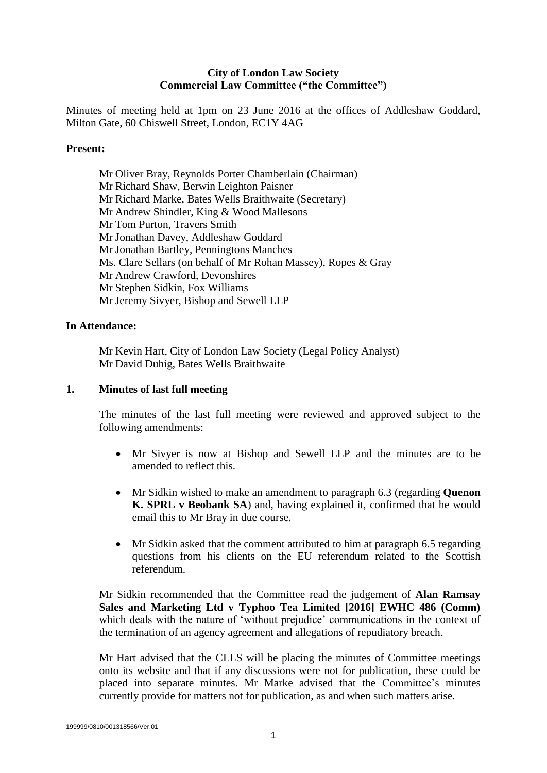# **City of London Law Society Commercial Law Committee ("the Committee")**

Minutes of meeting held at 1pm on 23 June 2016 at the offices of Addleshaw Goddard, Milton Gate, 60 Chiswell Street, London, EC1Y 4AG

#### **Present:**

Mr Oliver Bray, Reynolds Porter Chamberlain (Chairman) Mr Richard Shaw, Berwin Leighton Paisner Mr Richard Marke, Bates Wells Braithwaite (Secretary) Mr Andrew Shindler, King & Wood Mallesons Mr Tom Purton, Travers Smith Mr Jonathan Davey, Addleshaw Goddard Mr Jonathan Bartley, Penningtons Manches Ms. Clare Sellars (on behalf of Mr Rohan Massey), Ropes & Gray Mr Andrew Crawford, Devonshires Mr Stephen Sidkin, Fox Williams Mr Jeremy Sivyer, Bishop and Sewell LLP

# **In Attendance:**

Mr Kevin Hart, City of London Law Society (Legal Policy Analyst) Mr David Duhig, Bates Wells Braithwaite

#### **1. Minutes of last full meeting**

The minutes of the last full meeting were reviewed and approved subject to the following amendments:

- Mr Sivyer is now at Bishop and Sewell LLP and the minutes are to be amended to reflect this.
- Mr Sidkin wished to make an amendment to paragraph 6.3 (regarding **Quenon K. SPRL v Beobank SA**) and, having explained it, confirmed that he would email this to Mr Bray in due course.
- Mr Sidkin asked that the comment attributed to him at paragraph 6.5 regarding questions from his clients on the EU referendum related to the Scottish referendum.

Mr Sidkin recommended that the Committee read the judgement of **Alan Ramsay Sales and Marketing Ltd v Typhoo Tea Limited [2016] EWHC 486 (Comm)** which deals with the nature of 'without prejudice' communications in the context of the termination of an agency agreement and allegations of repudiatory breach.

Mr Hart advised that the CLLS will be placing the minutes of Committee meetings onto its website and that if any discussions were not for publication, these could be placed into separate minutes. Mr Marke advised that the Committee's minutes currently provide for matters not for publication, as and when such matters arise.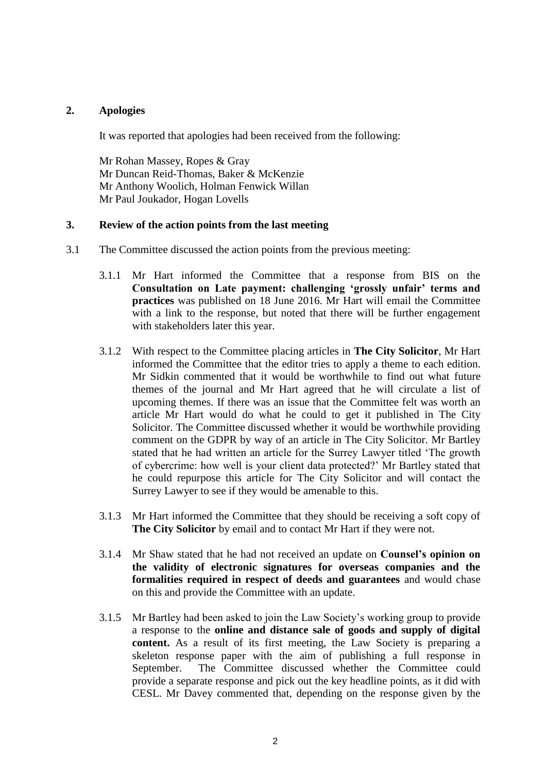### **2. Apologies**

It was reported that apologies had been received from the following:

Mr Rohan Massey, Ropes & Gray Mr Duncan Reid-Thomas, Baker & McKenzie Mr Anthony Woolich, Holman Fenwick Willan Mr Paul Joukador, Hogan Lovells

#### **3. Review of the action points from the last meeting**

- 3.1 The Committee discussed the action points from the previous meeting:
	- 3.1.1 Mr Hart informed the Committee that a response from BIS on the **Consultation on Late payment: challenging 'grossly unfair' terms and practices** was published on 18 June 2016. Mr Hart will email the Committee with a link to the response, but noted that there will be further engagement with stakeholders later this year.
	- 3.1.2 With respect to the Committee placing articles in **The City Solicitor**, Mr Hart informed the Committee that the editor tries to apply a theme to each edition. Mr Sidkin commented that it would be worthwhile to find out what future themes of the journal and Mr Hart agreed that he will circulate a list of upcoming themes. If there was an issue that the Committee felt was worth an article Mr Hart would do what he could to get it published in The City Solicitor. The Committee discussed whether it would be worthwhile providing comment on the GDPR by way of an article in The City Solicitor. Mr Bartley stated that he had written an article for the Surrey Lawyer titled 'The growth of cybercrime: how well is your client data protected?' Mr Bartley stated that he could repurpose this article for The City Solicitor and will contact the Surrey Lawyer to see if they would be amenable to this.
	- 3.1.3 Mr Hart informed the Committee that they should be receiving a soft copy of **The City Solicitor** by email and to contact Mr Hart if they were not.
	- 3.1.4 Mr Shaw stated that he had not received an update on **Counsel's opinion on the validity of electronic signatures for overseas companies and the formalities required in respect of deeds and guarantees** and would chase on this and provide the Committee with an update.
	- 3.1.5 Mr Bartley had been asked to join the Law Society's working group to provide a response to the **online and distance sale of goods and supply of digital content.** As a result of its first meeting, the Law Society is preparing a skeleton response paper with the aim of publishing a full response in September. The Committee discussed whether the Committee could provide a separate response and pick out the key headline points, as it did with CESL. Mr Davey commented that, depending on the response given by the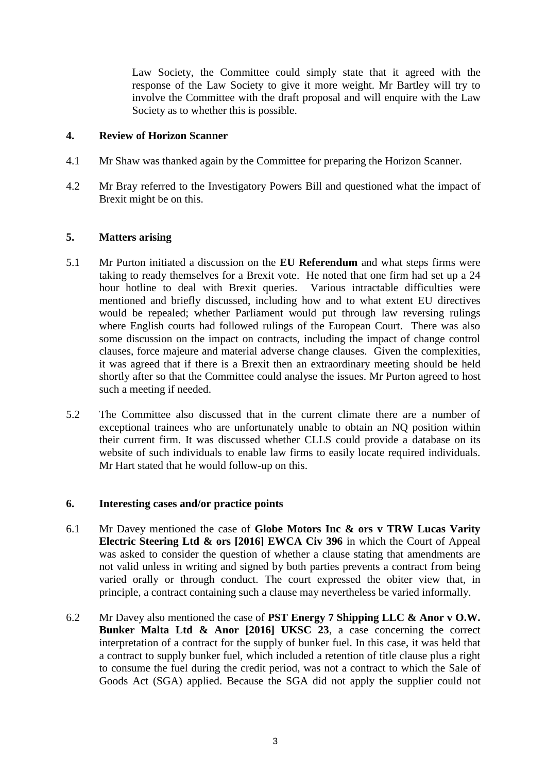Law Society, the Committee could simply state that it agreed with the response of the Law Society to give it more weight. Mr Bartley will try to involve the Committee with the draft proposal and will enquire with the Law Society as to whether this is possible.

# **4. Review of Horizon Scanner**

- 4.1 Mr Shaw was thanked again by the Committee for preparing the Horizon Scanner.
- 4.2 Mr Bray referred to the Investigatory Powers Bill and questioned what the impact of Brexit might be on this.

# **5. Matters arising**

- 5.1 Mr Purton initiated a discussion on the **EU Referendum** and what steps firms were taking to ready themselves for a Brexit vote. He noted that one firm had set up a 24 hour hotline to deal with Brexit queries. Various intractable difficulties were mentioned and briefly discussed, including how and to what extent EU directives would be repealed; whether Parliament would put through law reversing rulings where English courts had followed rulings of the European Court. There was also some discussion on the impact on contracts, including the impact of change control clauses, force majeure and material adverse change clauses. Given the complexities, it was agreed that if there is a Brexit then an extraordinary meeting should be held shortly after so that the Committee could analyse the issues. Mr Purton agreed to host such a meeting if needed.
- 5.2 The Committee also discussed that in the current climate there are a number of exceptional trainees who are unfortunately unable to obtain an NQ position within their current firm. It was discussed whether CLLS could provide a database on its website of such individuals to enable law firms to easily locate required individuals. Mr Hart stated that he would follow-up on this.

#### **6. Interesting cases and/or practice points**

- 6.1 Mr Davey mentioned the case of **Globe Motors Inc & ors v TRW Lucas Varity Electric Steering Ltd & ors [2016] EWCA Civ 396** in which the Court of Appeal was asked to consider the question of whether a clause stating that amendments are not valid unless in writing and signed by both parties prevents a contract from being varied orally or through conduct. The court expressed the obiter view that, in principle, a contract containing such a clause may nevertheless be varied informally.
- 6.2 Mr Davey also mentioned the case of **PST Energy 7 Shipping LLC & Anor v O.W. Bunker Malta Ltd & Anor [2016] UKSC 23**, a case concerning the correct interpretation of a contract for the supply of bunker fuel. In this case, it was held that a contract to supply bunker fuel, which included a retention of title clause plus a right to consume the fuel during the credit period, was not a contract to which the Sale of Goods Act (SGA) applied. Because the SGA did not apply the supplier could not